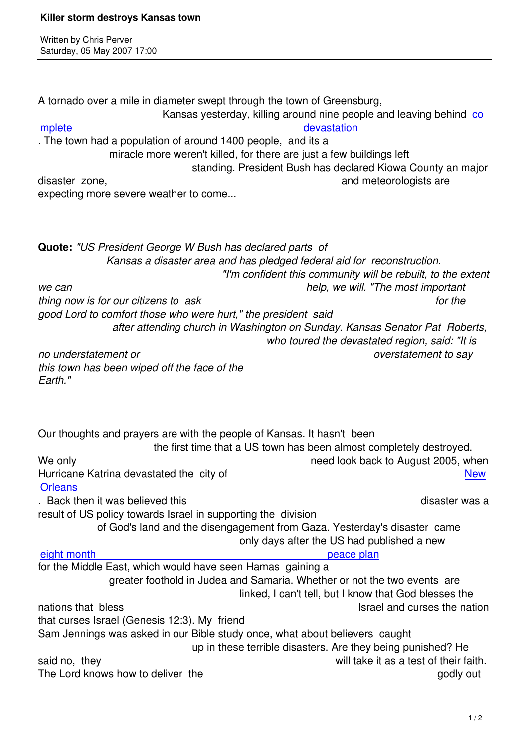Written by Christian by Christian by Christian by Christian by Christian by Christian by Chris Perus

A tornado over a mile in diameter swept through the town of Greensburg, Kansas yesterday, killing around nine people and leaving behind co mplete devastation . The town had a population of around 1400 people, and its a miracle more weren't killed, for there are just a few buildings left  [standing. President Bush has decla](http://news.bbc.co.uk/1/hi/world/americas/6629371.stm)red Kiowa County an m[ajo](http://news.bbc.co.uk/1/hi/world/americas/6629371.stm)r disaster zone, and meteorologists are and meteorologists are and meteorologists are expecting more severe weather to come... **Quote:** *"US President George W Bush has declared parts of Kansas a disaster area and has pledged federal aid for reconstruction. "I'm confident this community will be rebuilt, to the extent we can help, we will. "The most important thing now is for our citizens to ask* for the *for the good Lord to comfort those who were hurt," the president said after attending church in Washington on Sunday. Kansas Senator Pat Roberts, who toured the devastated region, said: "It is no understatement or overstatement to say this town has been wiped off the face of the Earth."* Our thoughts and prayers are with the people of Kansas. It hasn't been the first time that a US town has been almost completely destroyed. We only need look back to August 2005, when Hurricane Katrina devastated the city of New **Orleans** . Back then it was believed this disaster was a disaster was a disaster was a disaster was a disaster was a disaster was a disaster was a disaster was a disaster was a disaster was a disaster was a disaster was a disaster result of US policy towards Israel in supporting the division of God's land and the disengagement from Gaza. Yesterday's disaster came only days after the US had published a new eight month **peace plan** for the Middle East, which would have seen Hamas gaining a greater foothold in Judea and Samaria. Whether or not the two events are  [linked, I can](may07.html#5-2-2)'[t tell, but I know th](may07.html#5-2-2)at God blesses the nations that bless **Islamic Community** Israel and curses the nation that curses Israel (Genesis 12:3). My friend Sam Jennings was asked in our Bible study once, what about believers caught up in these terrible disasters. Are they being punished? He said no, they will take it as a test of their faith. The Lord knows how to deliver the godly out and the godly out of the godly out and godly out